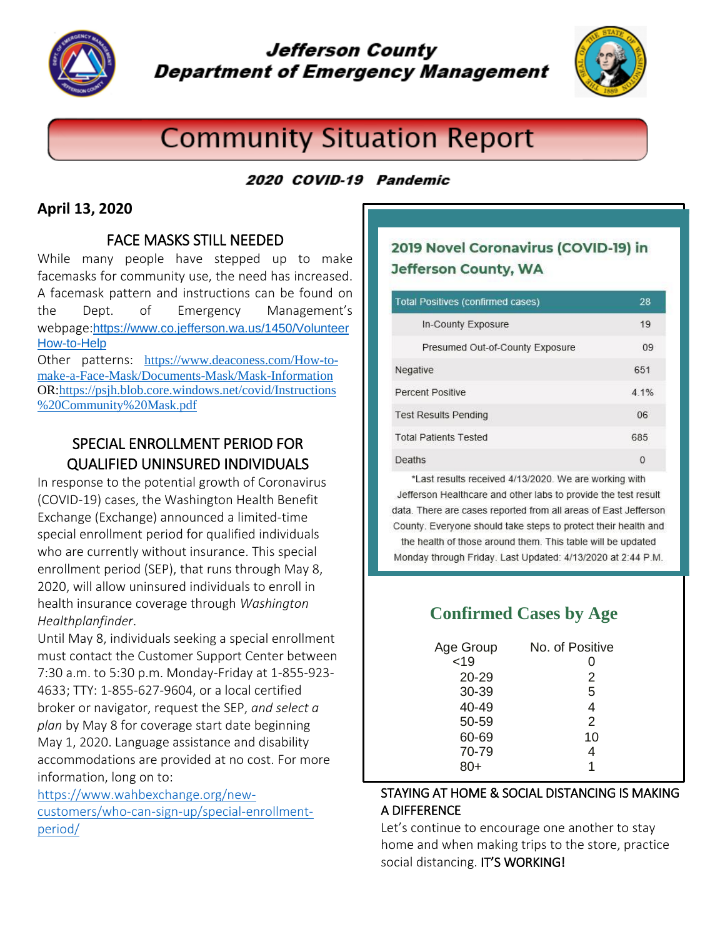

# **Jefferson County Department of Emergency Management**



# **Community Situation Report**

## 2020 COVID-19 Pandemic

## **April 13, 2020**

## FACE MASKS STILL NEEDED

While many people have stepped up to make facemasks for community use, the need has increased. A facemask pattern and instructions can be found on the Dept. of Emergency Management's webpage:[https://www.co.jefferson.wa.us/1450/Volunteer](https://www.co.jefferson.wa.us/1450/VolunteerHow-to-Help) [How-to-Help](https://www.co.jefferson.wa.us/1450/VolunteerHow-to-Help)

Other patterns: [https://www.deaconess.com/How-to](https://www.deaconess.com/How-to-make-a-Face-Mask/Documents-Mask/Mask-Information)[make-a-Face-Mask/Documents-Mask/Mask-Information](https://www.deaconess.com/How-to-make-a-Face-Mask/Documents-Mask/Mask-Information) OR[:https://psjh.blob.core.windows.net/covid/Instructions](https://psjh.blob.core.windows.net/covid/Instructions%20Community%20Mask.pdf) [%20Community%20Mask.pdf](https://psjh.blob.core.windows.net/covid/Instructions%20Community%20Mask.pdf)

## SPECIAL ENROLLMENT PERIOD FOR QUALIFIED UNINSURED INDIVIDUALS

In response to the potential growth of Coronavirus (COVID-19) cases, the Washington Health Benefit Exchange (Exchange) announced a limited-time special enrollment period for qualified individuals who are currently without insurance. This special enrollment period (SEP), that runs through May 8, 2020, will allow uninsured individuals to enroll in health insurance coverage through *Washington Healthplanfinder*.

Until May 8, individuals seeking a special enrollment must contact the Customer Support Center between 7:30 a.m. to 5:30 p.m. Monday-Friday at 1-855-923- 4633; TTY: 1-855-627-9604, or a local certified broker or navigator, request the SEP, *and select a plan* by May 8 for coverage start date beginning May 1, 2020. Language assistance and disability accommodations are provided at no cost. For more information, long on to:

[https://www.wahbexchange.org/new](https://www.wahbexchange.org/new-customers/who-can-sign-up/special-enrollment-period/)[customers/who-can-sign-up/special-enrollment](https://www.wahbexchange.org/new-customers/who-can-sign-up/special-enrollment-period/)[period/](https://www.wahbexchange.org/new-customers/who-can-sign-up/special-enrollment-period/)

## 2019 Novel Coronavirus (COVID-19) in **Jefferson County, WA**

| <b>Total Positives (confirmed cases)</b> | 28   |
|------------------------------------------|------|
| In-County Exposure                       | 19   |
| Presumed Out-of-County Exposure          | 09   |
| Negative                                 | 651  |
| Percent Positive                         | 4.1% |
| <b>Test Results Pending</b>              | 06   |
| <b>Total Patients Tested</b>             | 685  |
| Deaths                                   | 0    |

\*Last results received 4/13/2020. We are working with Jefferson Healthcare and other labs to provide the test result data. There are cases reported from all areas of East Jefferson County. Everyone should take steps to protect their health and the health of those around them. This table will be updated Monday through Friday. Last Updated: 4/13/2020 at 2:44 P.M.

## **Confirmed Cases by Age**

| Age Group<br>< 19<br>20-29<br>30-39<br>40-49<br>50-59<br>60-69<br>70-79 | No. of Positive<br>2<br>5<br>4<br>2<br>10<br>4 |
|-------------------------------------------------------------------------|------------------------------------------------|
|                                                                         |                                                |
|                                                                         |                                                |

#### STAYING AT HOME & SOCIAL DISTANCING IS MAKING A DIFFERENCE

Let's continue to encourage one another to stay home and when making trips to the store, practice social distancing. IT'S WORKING!